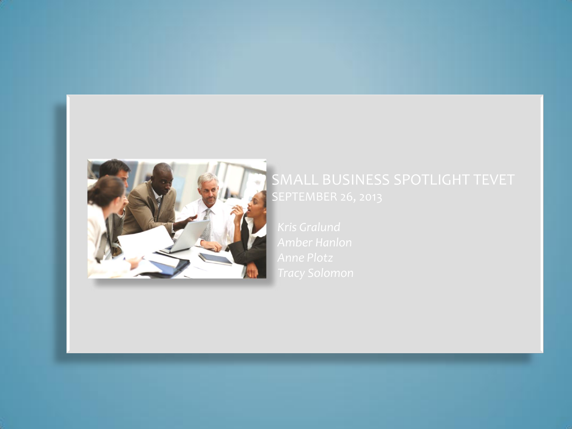

# SMALL BUSINESS SPOTLIGHT TEVET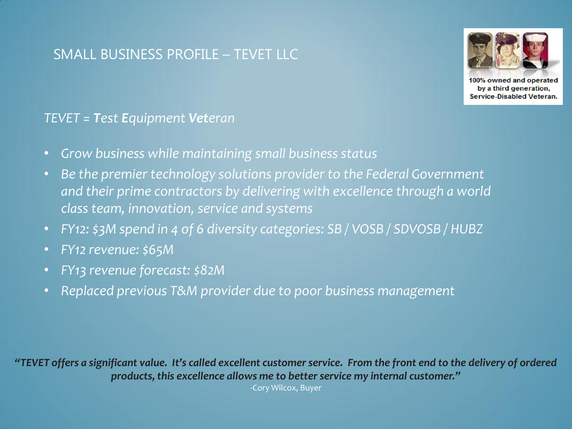## SMALL BUSINESS PROFILE – TEVET LLC



100% owned and operated by a third generation, Service-Disabled Veteran.

#### *TEVET = Test Equipment Veteran*

- *Grow business while maintaining small business status*
- *Be the premier technology solutions provider to the Federal Government and their prime contractors by delivering with excellence through a world class team, innovation, service and systems*
- *FY12: \$3M spend in 4 of 6 diversity categories: SB / VOSB / SDVOSB / HUBZ*
- *FY12 revenue: \$65M*
- *FY13 revenue forecast: \$82M*
- *Replaced previous T&M provider due to poor business management*

*"TEVET offers a significant value. It's called excellent customer service. From the front end to the delivery of ordered products, this excellence allows me to better service my internal customer."*

-Cory Wilcox, Buyer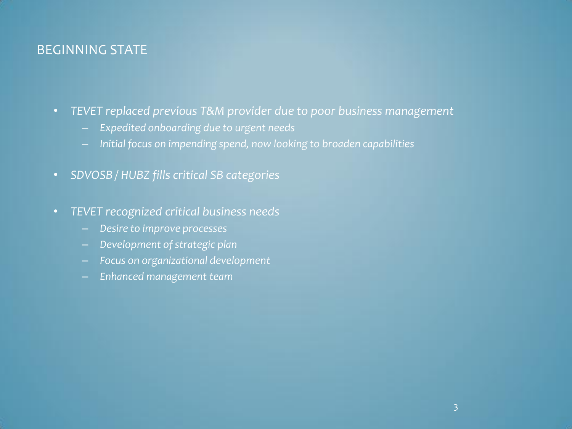#### BEGINNING STATE

- *TEVET replaced previous T&M provider due to poor business management* 
	- *Expedited onboarding due to urgent needs*
	- *Initial focus on impending spend, now looking to broaden capabilities*
- *SDVOSB / HUBZ fills critical SB categories*
- *TEVET recognized critical business needs*
	- *Desire to improve processes*
	- *Development of strategic plan*
	- *Focus on organizational development*
	- *Enhanced management team*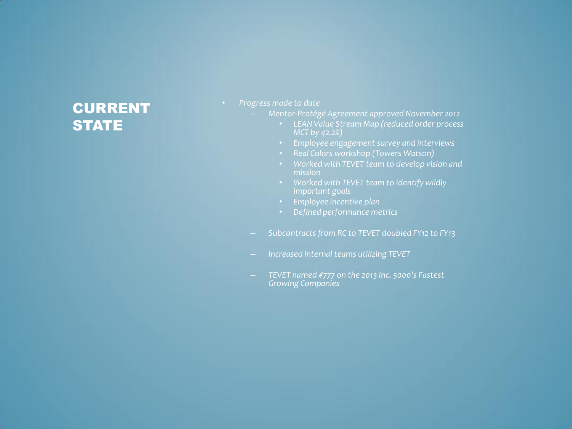# CURRENT **STATE**

- *Progress made to date*
	- *Mentor-Protégé Agreement approved November 2012*
		- *LEAN Value Stream Map (reduced order process MCT by 42.2%)*
		- *Employee engagement survey and interviews*
		- *Real Colors workshop (Towers Watson)*
		- *Worked with TEVET team to develop vision and mission*
		- *Worked with TEVET team to identify wildly important goals*
		- *Employee incentive plan*
		- *Defined performance metrics*
	- *Subcontracts from RC to TEVET doubled FY12 to FY13*
	- *Increased internal teams utilizing TEVET*
	- *TEVET named #777 on the 2013 Inc. 5000's Fastest Growing Companies*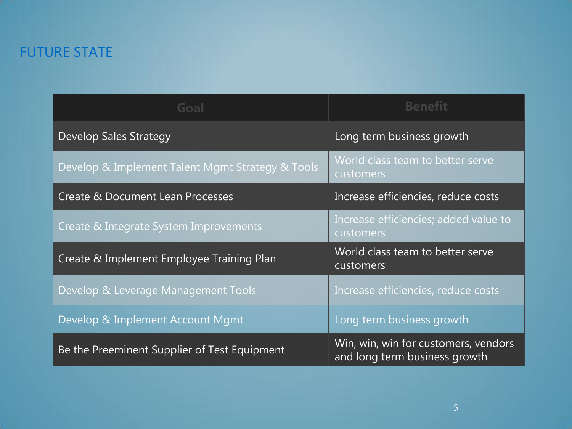# FUTURE STATE

| Goal                                             | <b>Benefit</b>                                                        |
|--------------------------------------------------|-----------------------------------------------------------------------|
| <b>Develop Sales Strategy</b>                    | Long term business growth                                             |
| Develop & Implement Talent Mgmt Strategy & Tools | World class team to better serve<br>customers                         |
| <b>Create &amp; Document Lean Processes</b>      | Increase efficiencies, reduce costs                                   |
| Create & Integrate System Improvements           | Increase efficiencies; added value to<br>customers                    |
| Create & Implement Employee Training Plan        | World class team to better serve<br>customers                         |
| Develop & Leverage Management Tools              | Increase efficiencies, reduce costs                                   |
| Develop & Implement Account Mgmt                 | Long term business growth                                             |
| Be the Preeminent Supplier of Test Equipment     | Win, win, win for customers, vendors<br>and long term business growth |

5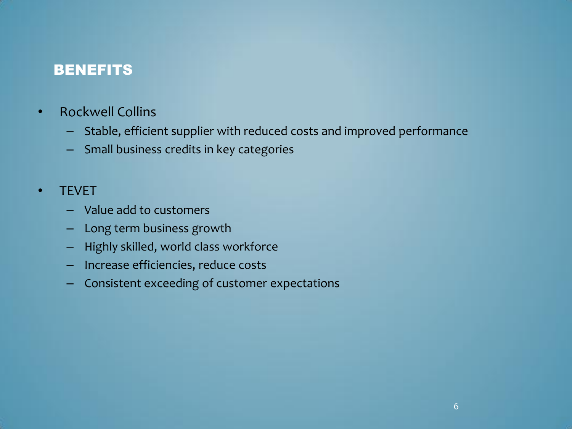### **BENEFITS**

- Rockwell Collins
	- Stable, efficient supplier with reduced costs and improved performance
	- Small business credits in key categories

#### • TEVET

- Value add to customers
- Long term business growth
- Highly skilled, world class workforce
- Increase efficiencies, reduce costs
- Consistent exceeding of customer expectations